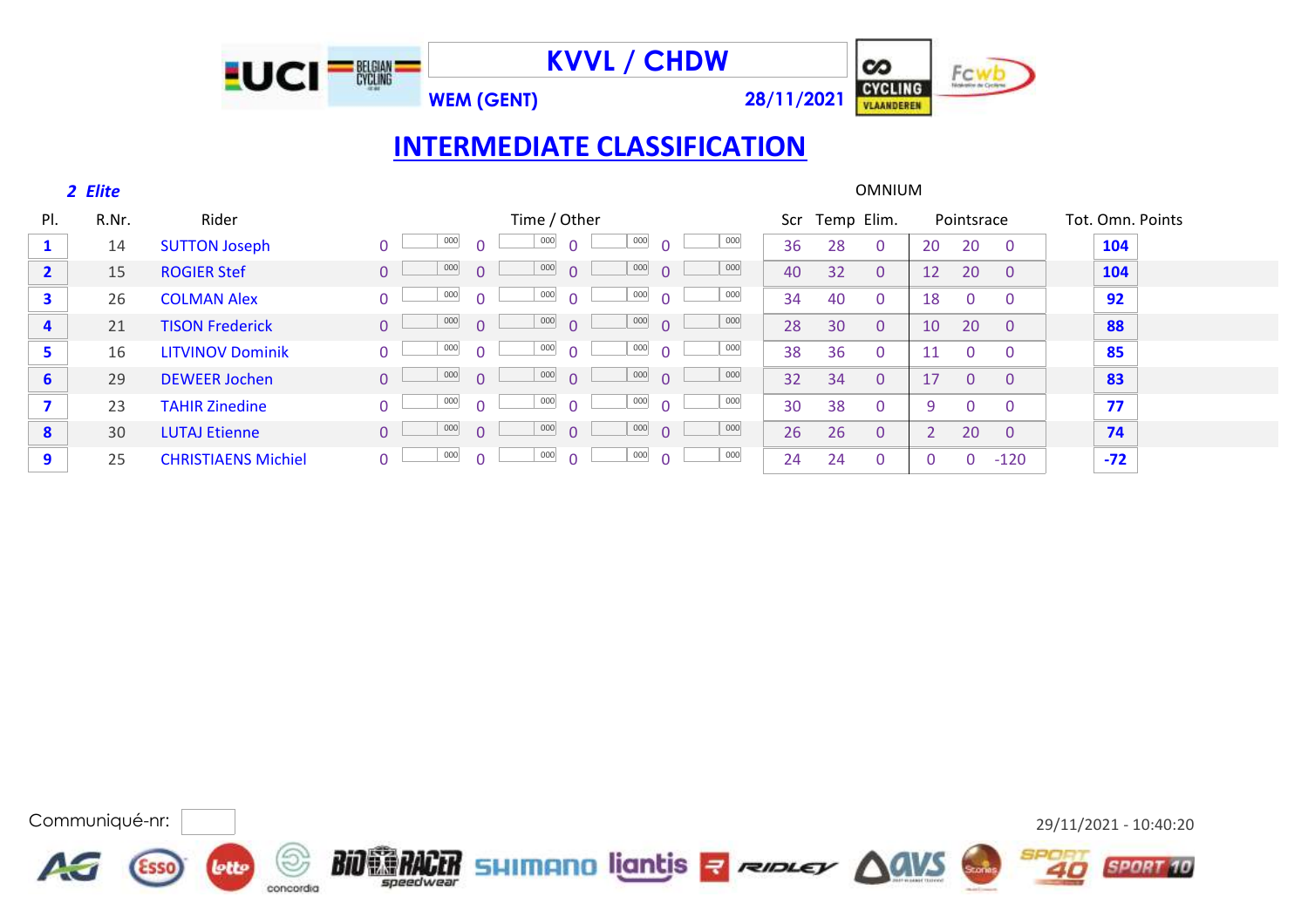

**WEM (GENT) 28/11/2021**



# **INTERMEDIATE CLASSIFICATION**

LUCI<sup>-- 照耀</sub></sup>

|              | 2 Elite |                            |                |                 |                       |                        |     |     |            | <b>OMNIUM</b> |    |            |                |                  |  |
|--------------|---------|----------------------------|----------------|-----------------|-----------------------|------------------------|-----|-----|------------|---------------|----|------------|----------------|------------------|--|
| PI.          | R.Nr.   | Rider                      |                |                 | Time / Other          |                        |     | Scr | Temp Elim. |               |    | Pointsrace |                | Tot. Omn. Points |  |
|              | 14      | <b>SUTTON Joseph</b>       |                | 000<br>$\Omega$ | 000<br>$\Omega$       | 000                    | 000 | 36  | 28         | $\Omega$      | 20 | 20         | $\Omega$       | 104              |  |
| $\mathbf{2}$ | 15      | <b>ROGIER Stef</b>         | $\overline{0}$ | 000<br>$\Omega$ | 000<br>$\overline{0}$ | 000<br>$\Omega$        | 000 | 40  | 32         | $\Omega$      | 12 | 20         | $\overline{0}$ | 104              |  |
| 3            | 26      | <b>COLMAN Alex</b>         | $\Omega$       | 000<br>$\Omega$ | 000<br>$\Omega$       | 000<br>$\Omega$        | 000 | 34  | 40         | $\Omega$      | 18 | $\Omega$   | $\mathbf{0}$   | 92               |  |
| 4            | 21      | <b>TISON Frederick</b>     | $\overline{0}$ | 000<br>$\Omega$ | 000<br>$\Omega$       | 000<br>$\Omega$        | 000 | 28  | 30         | $\Omega$      | 10 | 20         | $\Omega$       | 88               |  |
| 5            | 16      | <b>LITVINOV Dominik</b>    | $\overline{0}$ | 000<br>$\Omega$ | 000<br>$\Omega$       | 000<br>$\Omega$        | 000 | 38  | 36         | $\mathbf{0}$  | 11 | $\Omega$   | $\mathbf{0}$   | 85               |  |
| 6            | 29      | <b>DEWEER Jochen</b>       | $\overline{0}$ | 000<br>$\Omega$ | 000<br>$\Omega$       | $\frac{000}{\sqrt{1}}$ | 000 | 32  | 34         | $\mathbf{0}$  | 17 | $\Omega$   | $\overline{0}$ | 83               |  |
| 7            | 23      | <b>TAHIR Zinedine</b>      | $\Omega$       | 000<br>$\Omega$ | 000<br>$\Omega$       | 000<br>$\Omega$        | 000 | 30  | 38         | $\mathbf{0}$  | 9  | $\Omega$   | $\mathbf{0}$   | 77               |  |
| 8            | 30      | <b>LUTAJ Etienne</b>       | $\overline{0}$ | 000<br>$\Omega$ | 000<br>$\Omega$       | 000<br>$\Omega$        | 000 | 26  | 26         | $\Omega$      |    | 20         | $\overline{0}$ | 74               |  |
| 9            | 25      | <b>CHRISTIAENS Michiel</b> | 0              | 000<br>$\Omega$ | 000<br>$\Omega$       | 000<br>$\Omega$        | 000 | 24  | 24         | $\mathbf{0}$  | 0  | $\Omega$   | $-120$         | $-72$            |  |



**SPORT 10**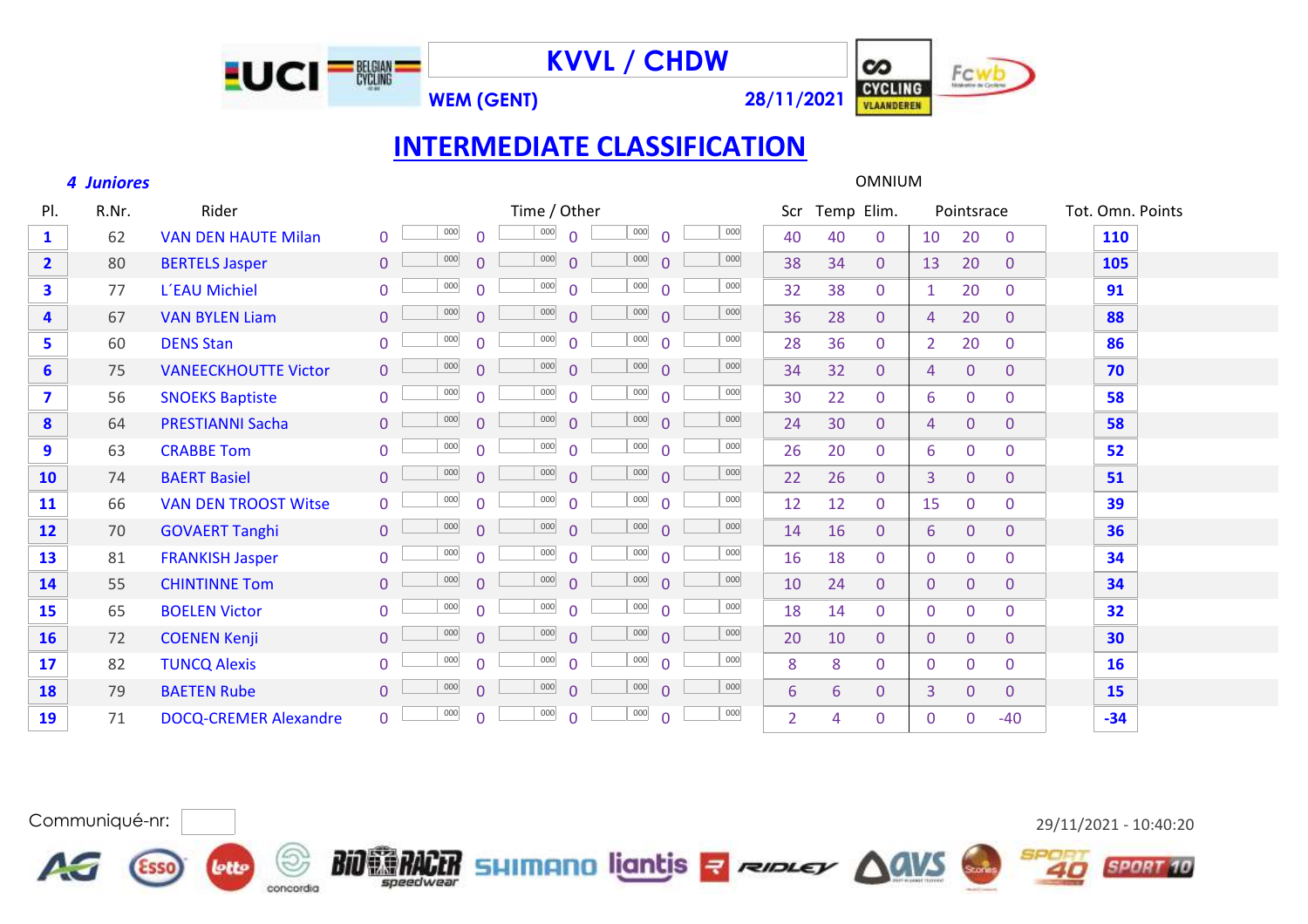

**WEM (GENT) 28/11/2021**



## **INTERMEDIATE CLASSIFICATION**

#### *Juniores* OMNIUM

**AG** 

concordia

**lette** 

**Esso** 

| PI.                     | R.Nr. | Rider                        | Time / Other                                                                         | Scr            | Temp Elim.                     | Pointsrace                                         | Tot. Omn. Points |
|-------------------------|-------|------------------------------|--------------------------------------------------------------------------------------|----------------|--------------------------------|----------------------------------------------------|------------------|
| $\mathbf{1}$            | 62    | <b>VAN DEN HAUTE Milan</b>   | 000<br>000<br>000<br>000<br>$\Omega$<br>∩<br>0                                       | 40             | 40<br>$\Omega$                 | 10<br>20<br>$\mathbf{0}$                           | 110              |
| $\overline{2}$          | 80    | <b>BERTELS Jasper</b>        | 000<br>000<br>000<br>000<br>$\overline{0}$<br>$\Omega$<br>$\overline{0}$<br>$\Omega$ | 38             | 34<br>$\overline{0}$           | 20<br>13<br>$\overline{0}$                         | 105              |
| 3                       | 77    | L'EAU Michiel                | 000<br>000<br>000<br>000<br>$\overline{0}$<br>$\Omega$<br>$\Omega$<br>$\Omega$       | 32             | 38<br>$\mathbf{0}$             | 20<br>$\mathbf{1}$<br>$\Omega$                     | 91               |
| $\overline{\mathbf{4}}$ | 67    | <b>VAN BYLEN Liam</b>        | 000<br>000<br>000<br>000<br>$\Omega$<br>$\Omega$<br>$\Omega$<br>$\overline{0}$       | 36             | 28<br>$\Omega$                 | 20<br>$\Omega$<br>$\overline{4}$                   | 88               |
| 5                       | 60    | <b>DENS Stan</b>             | 000<br>000<br>000<br>000<br>$\overline{0}$<br>$\Omega$<br>$\Omega$<br>$\Omega$       | 28             | 36<br>$\Omega$                 | 20<br>$\overline{2}$<br>$\Omega$                   | 86               |
| $6\overline{6}$         | 75    | <b>VANEECKHOUTTE Victor</b>  | 000<br>000<br>000<br>000<br>$\Omega$<br>$\overline{0}$<br>$\Omega$<br>$\Omega$       | 34             | 32<br>$\overline{0}$           | $\overline{0}$<br>$\overline{4}$<br>$\overline{0}$ | 70               |
| $\mathbf{7}$            | 56    | <b>SNOEKS Baptiste</b>       | 000<br>000<br>000<br>000<br>$\Omega$<br>$\Omega$<br>$\Omega$                         | 30             | 22<br>$\overline{0}$           | 6<br>0<br>$\mathbf{0}$                             | 58               |
| 8                       | 64    | <b>PRESTIANNI Sacha</b>      | 000<br>000<br>000<br>000<br>$\Omega$<br>$\Omega$<br>$\Omega$<br>$\Omega$             | 24             | 30<br>$\Omega$                 | $\overline{0}$<br>$\overline{0}$<br>$\overline{4}$ | 58               |
| 9                       | 63    | <b>CRABBE Tom</b>            | 000<br>000<br>000<br>000<br>$\Omega$<br>$\Omega$<br>$\Omega$<br>$\Omega$             | 26             | 20<br>$\overline{0}$           | $\overline{0}$<br>6<br>$\mathbf{0}$                | 52               |
| <b>10</b>               | 74    | <b>BAERT Basiel</b>          | 000<br>000<br>000<br>000<br>$\Omega$<br>$\Omega$<br>$\overline{0}$<br>$\Omega$       | 22             | 26<br>$\overline{0}$           | 3<br>$\overline{0}$<br>$\mathbf{0}$                | 51               |
| 11                      | 66    | <b>VAN DEN TROOST Witse</b>  | 000<br>000<br>000<br>000<br>$\Omega$<br>$\Omega$<br>$\Omega$<br>$\Omega$             | 12             | 12<br>$\Omega$                 | 15<br>$\mathbf{0}$<br>$\Omega$                     | 39               |
| 12                      | 70    | <b>GOVAERT Tanghi</b>        | 000<br>000<br>000<br>000<br>$\Omega$<br>$\overline{0}$<br>$\Omega$<br>$\Omega$       | 14             | 16<br>$\Omega$                 | $\overline{0}$<br>6<br>$\overline{0}$              | 36               |
| 13                      | 81    | <b>FRANKISH Jasper</b>       | 000<br>000<br>000<br>000<br>$\Omega$<br>$\Omega$<br>$\Omega$<br>$\Omega$             | 16             | 18<br>$\Omega$                 | $\mathbf{0}$<br>$\overline{0}$<br>$\mathbf{0}$     | 34               |
| 14                      | 55    | <b>CHINTINNE Tom</b>         | 000<br>000<br>000<br>000<br>$\overline{0}$<br>$\Omega$<br>$\overline{0}$<br>$\Omega$ | 10             | 24<br>$\overline{0}$           | $\overline{0}$<br>$\mathbf{0}$<br>$\mathbf{0}$     | 34               |
| <b>15</b>               | 65    | <b>BOELEN Victor</b>         | 000<br>000<br>000<br>000<br>$\Omega$<br>$\Omega$<br>$\Omega$<br>$\Omega$             | 18             | 14<br>$\Omega$                 | $\mathbf{0}$<br>0<br>$\mathbf{0}$                  | 32               |
| <b>16</b>               | 72    | <b>COENEN Kenji</b>          | 000<br>000<br>000<br>000<br>$\Omega$<br>$\Omega$<br>$\Omega$<br>$\Omega$             | 20             | 10<br>$\Omega$                 | $\overline{0}$<br>$\overline{0}$<br>$\mathbf{0}$   | 30               |
| 17                      | 82    | <b>TUNCQ Alexis</b>          | 000<br>000<br>000<br>000<br>$\Omega$<br>$\Omega$<br>$\Omega$<br>$\Omega$             | 8              | 8<br>$\Omega$                  | $\Omega$<br>$\mathbf{0}$<br>$\mathbf{0}$           | <b>16</b>        |
| <b>18</b>               | 79    | <b>BAETEN Rube</b>           | 000<br>000<br>000<br>000<br>$\Omega$<br>$\Omega$<br>$\Omega$<br>$\Omega$             | 6              | 6<br>$\overline{0}$            | 3<br>$\overline{0}$<br>$\mathbf{0}$                | 15               |
| 19                      | 71    | <b>DOCQ-CREMER Alexandre</b> | 000<br>$000\,$<br>000<br>000<br>$\overline{0}$<br>$\Omega$<br>$\Omega$<br>$\Omega$   | $\overline{2}$ | $\mathbf{0}$<br>$\overline{4}$ | $\mathbf{0}$<br>$-40$<br>$\Omega$                  | $-34$            |

BIO CORRECTE SHIMANO liantis a respect AGVS

## Communiqué-nr: 29/11/2021 - 10:40:20

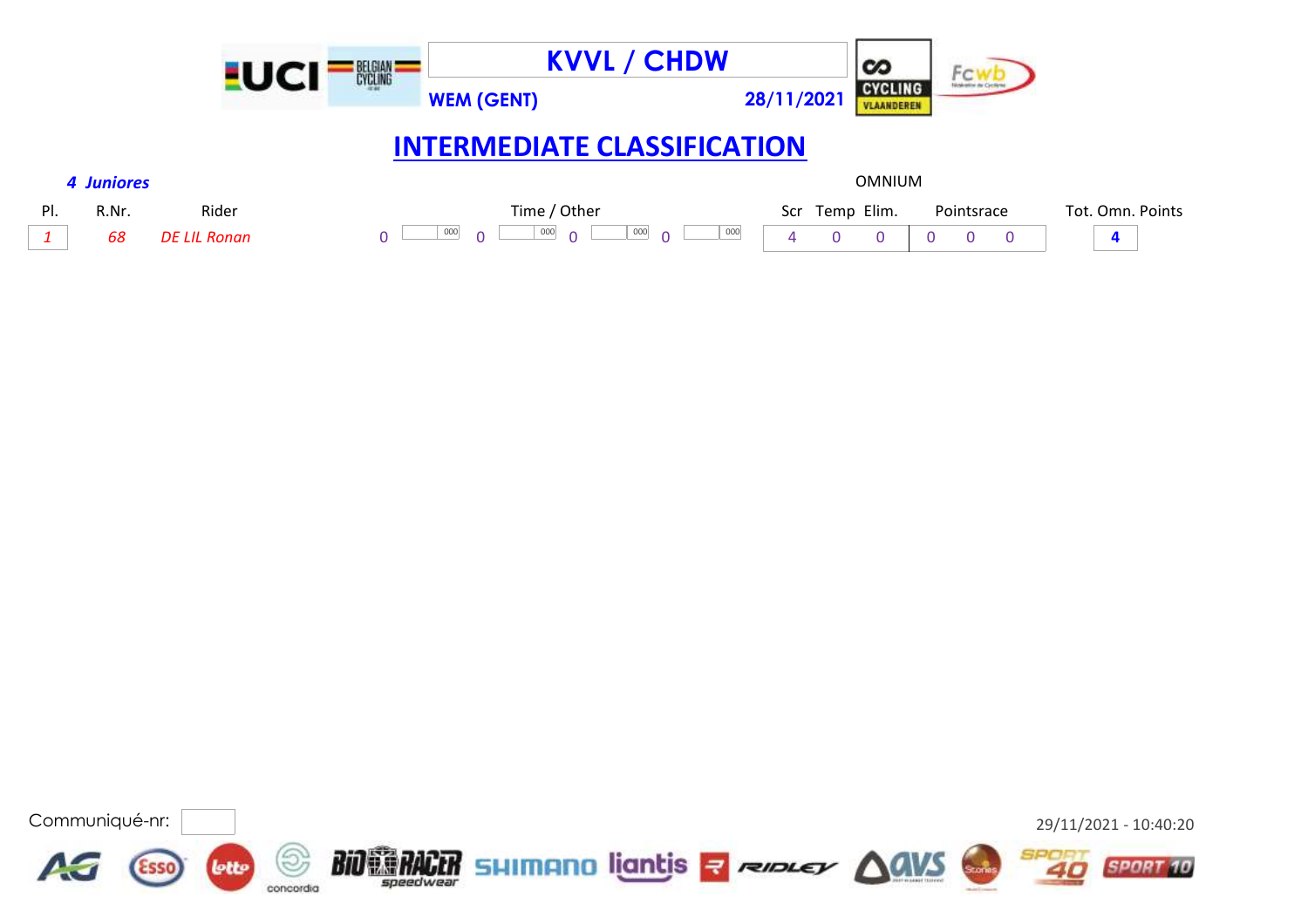|     |            |                     | <b>BELGIAN</b> |                                        | <b>KVVL / CHDW</b>     |                | $\infty$                     |            |          |                  |  |
|-----|------------|---------------------|----------------|----------------------------------------|------------------------|----------------|------------------------------|------------|----------|------------------|--|
|     |            |                     |                | <b>WEM (GENT)</b>                      |                        | 28/11/2021     | <b>CYCLING</b><br>VLAANDEREN |            |          |                  |  |
|     |            |                     |                | <b>INTERMEDIATE CLASSIFICATION</b>     |                        |                |                              |            |          |                  |  |
|     | 4 Juniores |                     |                |                                        |                        |                | <b>OMNIUM</b>                |            |          |                  |  |
| PI. | R.Nr.      | Rider               |                | Time / Other                           |                        | Scr Temp Elim. |                              | Pointsrace |          | Tot. Omn. Points |  |
| 1   | 68         | <b>DE LIL Ronan</b> |                | 000<br>000<br>$\overline{a}$<br>$\cap$ | 000<br>000<br>$\sim$ 0 |                |                              | 0          | $\Omega$ | 4                |  |

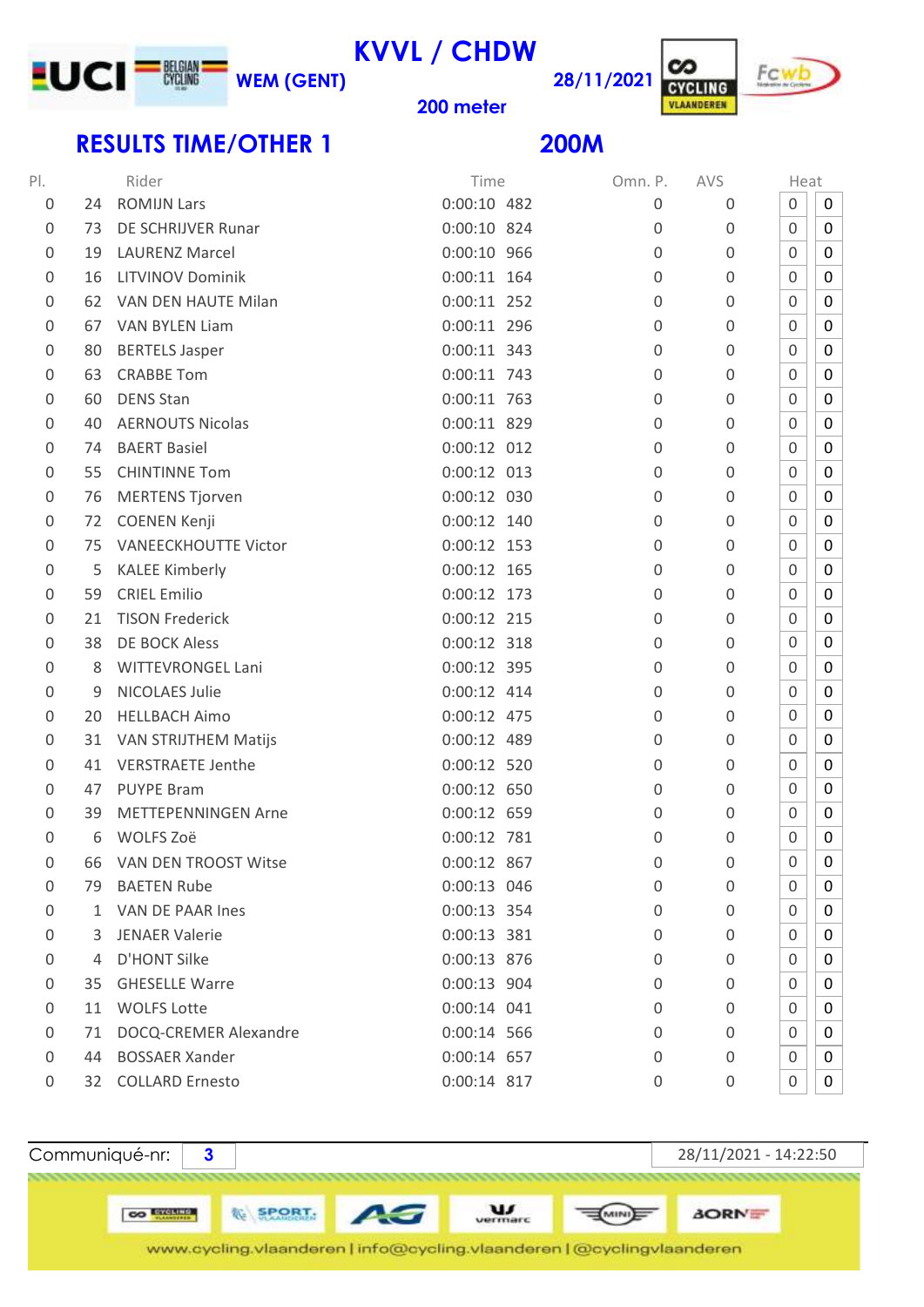

**KVVL / CHDW**



### **meter**

## **RESULTS TIME/OTHER 1**

**28/11/2021**

| PI.                 |              | Rider                       | Time          | Omn. P.  | <b>AVS</b>       | Heat             |             |
|---------------------|--------------|-----------------------------|---------------|----------|------------------|------------------|-------------|
| $\boldsymbol{0}$    | 24           | <b>ROMIJN Lars</b>          | $0:00:10$ 482 | 0        | 0                | $\mathsf 0$      | 0           |
| $\boldsymbol{0}$    | 73           | DE SCHRIJVER Runar          | $0:00:10$ 824 | $\Omega$ | $\mathbf 0$      | 0                | 0           |
| $\boldsymbol{0}$    | 19           | <b>LAURENZ Marcel</b>       | 0:00:10 966   | 0        | $\mathbf 0$      | 0                | 0           |
| 0                   | 16           | <b>LITVINOV Dominik</b>     | $0:00:11$ 164 | 0        | 0                | 0                | 0           |
| 0                   | 62           | VAN DEN HAUTE Milan         | $0:00:11$ 252 | $\Omega$ | 0                | 0                | 0           |
| $\boldsymbol{0}$    | 67           | VAN BYLEN Liam              | 0:00:11 296   | 0        | $\boldsymbol{0}$ | $\boldsymbol{0}$ | 0           |
| $\boldsymbol{0}$    | 80           | <b>BERTELS Jasper</b>       | $0:00:11$ 343 | 0        | $\mathbf 0$      | 0                | 0           |
| $\mathbf 0$         | 63           | <b>CRABBE Tom</b>           | 0:00:11 743   | 0        | $\mathbf 0$      | 0                | 0           |
| $\boldsymbol{0}$    | 60           | <b>DENS Stan</b>            | $0:00:11$ 763 | 0        | $\boldsymbol{0}$ | $\boldsymbol{0}$ | $\pmb{0}$   |
| $\mathbf 0$         | 40           | <b>AERNOUTS Nicolas</b>     | 0:00:11 829   | 0        | $\mathbf 0$      | 0                | 0           |
| 0                   | 74           | <b>BAERT Basiel</b>         | $0:00:12$ 012 | $\Omega$ | 0                | 0                | 0           |
| $\boldsymbol{0}$    | 55           | <b>CHINTINNE Tom</b>        | $0:00:12$ 013 | 0        | $\boldsymbol{0}$ | 0                | 0           |
| 0                   | 76           | <b>MERTENS Tjorven</b>      | 0:00:12 030   | 0        | 0                | 0                | 0           |
| 0                   | 72           | <b>COENEN Kenji</b>         | $0:00:12$ 140 | 0        | 0                | 0                | 0           |
| $\mathbf 0$         | 75           | <b>VANEECKHOUTTE Victor</b> | $0:00:12$ 153 | 0        | $\mathbf 0$      | 0                | 0           |
| $\boldsymbol{0}$    | 5            | <b>KALEE Kimberly</b>       | $0:00:12$ 165 | 0        | $\mathbf 0$      | 0                | 0           |
| $\boldsymbol{0}$    | 59           | <b>CRIEL Emilio</b>         | $0:00:12$ 173 | 0        | 0                | 0                | 0           |
| $\boldsymbol{0}$    | 21           | <b>TISON Frederick</b>      | $0:00:12$ 215 | 0        | 0                | 0                | 0           |
| $\mathbf 0$         | 38           | <b>DE BOCK Aless</b>        | $0:00:12$ 318 | 0        | $\mathbf 0$      | 0                | 0           |
| $\mathsf 0$         | 8            | <b>WITTEVRONGEL Lani</b>    | 0:00:12 395   | 0        | $\mathbf 0$      | 0                | 0           |
| $\mathsf{O}\xspace$ | 9            | <b>NICOLAES Julie</b>       | $0:00:12$ 414 | 0        | 0                | 0                | 0           |
| $\mathsf{O}\xspace$ | 20           | <b>HELLBACH Aimo</b>        | 0:00:12 475   | 0        | $\boldsymbol{0}$ | 0                | 0           |
| $\boldsymbol{0}$    | 31           | VAN STRIJTHEM Matijs        | 0:00:12 489   | 0        | 0                | 0                | 0           |
| 0                   | 41           | <b>VERSTRAETE Jenthe</b>    | 0:00:12 520   | 0        | 0                | 0                | 0           |
| $\boldsymbol{0}$    | 47           | <b>PUYPE Bram</b>           | 0:00:12 650   | 0        | $\boldsymbol{0}$ | 0                | 0           |
| $\mathbf 0$         | 39           | <b>METTEPENNINGEN Arne</b>  | 0:00:12 659   | 0        | $\mathbf 0$      | $\mathbf 0$      | 0           |
| $\mathbf 0$         | 6            | WOLFS Zoë                   | 0:00:12 781   | 0        | $\mathbf 0$      | 0                | $\pmb{0}$   |
| 0                   | 66           | VAN DEN TROOST Witse        | 0:00:12 867   | 0        | $\mathbf 0$      | $\mathbf 0$      | $\mathbf 0$ |
| 0                   | 79.          | <b>BAETEN Rube</b>          | 0:00:13 046   | 0        | 0                | 0                | 0           |
| $\boldsymbol{0}$    | $\mathbf{1}$ | VAN DE PAAR Ines            | 0:00:13 354   | 0        | 0                | 0                | 0           |
| 0                   | 3            | <b>JENAER Valerie</b>       | 0:00:13 381   | 0        | $\mathbf 0$      | 0                | 0           |
| $\mathbf 0$         | 4            | D'HONT Silke                | 0:00:13 876   | 0        | 0                | 0                | 0           |
| 0                   | 35           | <b>GHESELLE Warre</b>       | 0:00:13 904   | $\Omega$ | 0                | 0                | 0           |
| 0                   | 11           | <b>WOLFS Lotte</b>          | $0:00:14$ 041 | 0        | $\mathbf 0$      | 0                | 0           |
| 0                   | 71           | DOCQ-CREMER Alexandre       | 0:00:14 566   | 0        | $\mathbf 0$      | 0                | 0           |
| 0                   | 44           | <b>BOSSAER Xander</b>       | 0:00:14 657   | $\Omega$ | 0                | 0                | 0           |
| 0                   |              | 32 COLLARD Ernesto          | 0:00:14 817   | 0        | 0                | $\boldsymbol{0}$ | 0           |